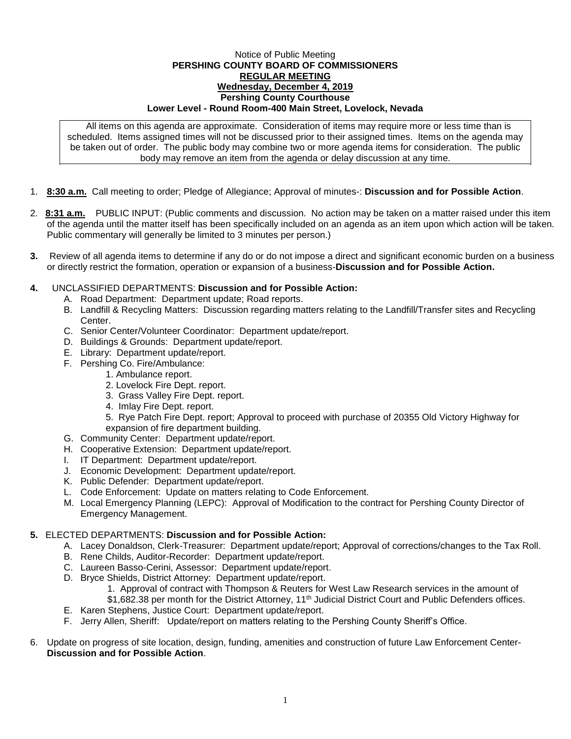## Notice of Public Meeting **PERSHING COUNTY BOARD OF COMMISSIONERS REGULAR MEETING Wednesday, December 4, 2019 Pershing County Courthouse Lower Level - Round Room-400 Main Street, Lovelock, Nevada**

All items on this agenda are approximate. Consideration of items may require more or less time than is scheduled. Items assigned times will not be discussed prior to their assigned times. Items on the agenda may be taken out of order. The public body may combine two or more agenda items for consideration. The public body may remove an item from the agenda or delay discussion at any time.

- 1. **8:30 a.m.** Call meeting to order; Pledge of Allegiance; Approval of minutes-: **Discussion and for Possible Action**.
- 2. **8:31 a.m.** PUBLIC INPUT: (Public comments and discussion. No action may be taken on a matter raised under this item of the agenda until the matter itself has been specifically included on an agenda as an item upon which action will be taken. Public commentary will generally be limited to 3 minutes per person.)
- **3.** Review of all agenda items to determine if any do or do not impose a direct and significant economic burden on a business or directly restrict the formation, operation or expansion of a business-**Discussion and for Possible Action.**
- **4.** UNCLASSIFIED DEPARTMENTS: **Discussion and for Possible Action:**
	- A. Road Department: Department update; Road reports.
	- B. Landfill & Recycling Matters: Discussion regarding matters relating to the Landfill/Transfer sites and Recycling Center.
	- C. Senior Center/Volunteer Coordinator: Department update/report.
	- D. Buildings & Grounds: Department update/report.
	- E. Library: Department update/report.
	- F. Pershing Co. Fire/Ambulance:
		- 1. Ambulance report.
		- 2. Lovelock Fire Dept. report.
		- 3. Grass Valley Fire Dept. report.
		- 4. Imlay Fire Dept. report.
		- 5. Rye Patch Fire Dept. report; Approval to proceed with purchase of 20355 Old Victory Highway for expansion of fire department building.
	- G. Community Center: Department update/report.
	- H. Cooperative Extension: Department update/report.
	- I. IT Department: Department update/report.
	- J. Economic Development: Department update/report.
	- K. Public Defender: Department update/report.
	- L. Code Enforcement: Update on matters relating to Code Enforcement.
	- M. Local Emergency Planning (LEPC): Approval of Modification to the contract for Pershing County Director of Emergency Management.

## **5.** ELECTED DEPARTMENTS: **Discussion and for Possible Action:**

- A. Lacey Donaldson, Clerk-Treasurer: Department update/report; Approval of corrections/changes to the Tax Roll.
- B. Rene Childs, Auditor-Recorder: Department update/report.
- C. Laureen Basso-Cerini, Assessor: Department update/report.
- D. Bryce Shields, District Attorney: Department update/report.
	- 1. Approval of contract with Thompson & Reuters for West Law Research services in the amount of \$1,682.38 per month for the District Attorney, 11<sup>th</sup> Judicial District Court and Public Defenders offices.
- E. Karen Stephens, Justice Court: Department update/report.
- F. Jerry Allen, Sheriff: Update/report on matters relating to the Pershing County Sheriff's Office.
- 6. Update on progress of site location, design, funding, amenities and construction of future Law Enforcement Center-**Discussion and for Possible Action**.